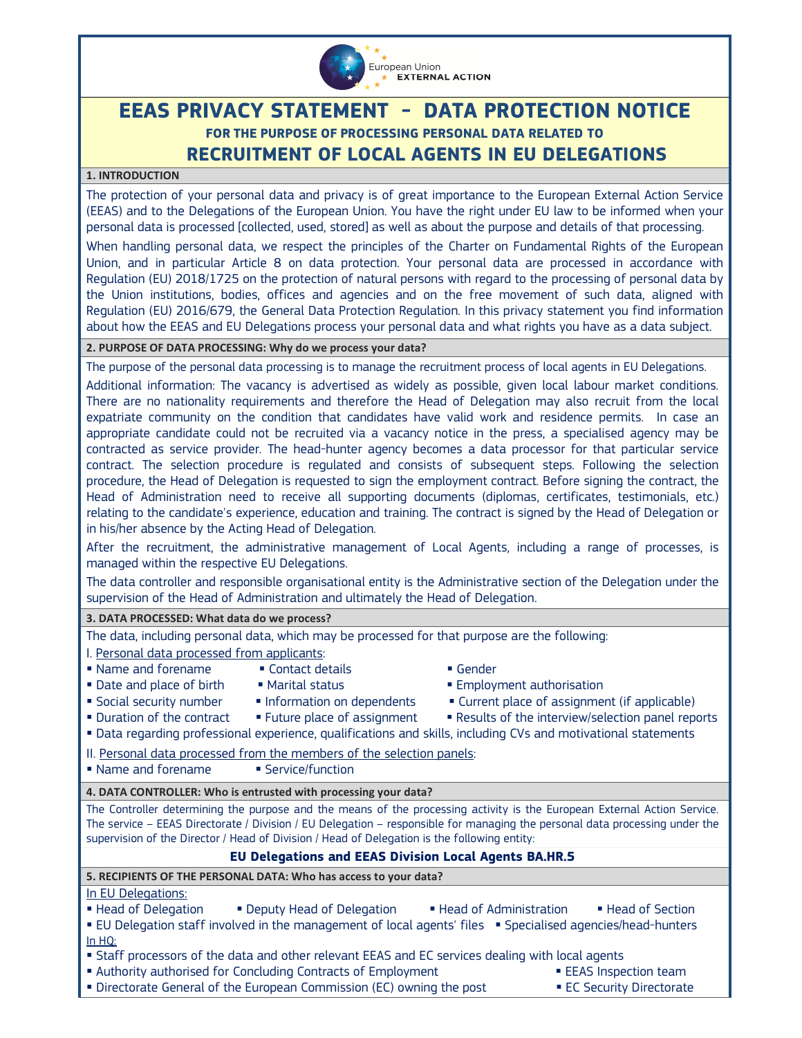

# **EEAS PRIVACY STATEMENT - DATA PROTECTION NOTICE FOR THE PURPOSE OF PROCESSING PERSONAL DATA RELATED TO RECRUITMENT OF LOCAL AGENTS IN EU DELEGATIONS**

### **1. INTRODUCTION**

The protection of your personal data and privacy is of great importance to the European External Action Service (EEAS) and to the Delegations of the European Union. You have the right under EU law to be informed when your personal data is processed [collected, used, stored] as well as about the purpose and details of that processing.

When handling personal data, we respect the principles of the Charter on Fundamental Rights of the European Union, and in particular Article 8 on data protection. Your personal data are processed in accordance with Regulation (EU) 2018/1725 on the protection of natural persons with regard to the processing of personal data by the Union institutions, bodies, offices and agencies and on the free movement of such data, aligned with Regulation (EU) 2016/679, the General Data Protection Regulation. In this privacy statement you find information about how the EEAS and EU Delegations process your personal data and what rights you have as a data subject.

**2. PURPOSE OF DATA PROCESSING: Why do we process your data?** 

The purpose of the personal data processing is to manage the recruitment process of local agents in EU Delegations. Additional information: The vacancy is advertised as widely as possible, given local labour market conditions. There are no nationality requirements and therefore the Head of Delegation may also recruit from the local expatriate community on the condition that candidates have valid work and residence permits. In case an appropriate candidate could not be recruited via a vacancy notice in the press, a specialised agency may be contracted as service provider. The head-hunter agency becomes a data processor for that particular service contract. The selection procedure is regulated and consists of subsequent steps. Following the selection procedure, the Head of Delegation is requested to sign the employment contract. Before signing the contract, the Head of Administration need to receive all supporting documents (diplomas, certificates, testimonials, etc.) relating to the candidate's experience, education and training. The contract is signed by the Head of Delegation or in his/her absence by the Acting Head of Delegation.

After the recruitment, the administrative management of Local Agents, including a range of processes, is managed within the respective EU Delegations.

The data controller and responsible organisational entity is the Administrative section of the Delegation under the supervision of the Head of Administration and ultimately the Head of Delegation.

#### **3. DATA PROCESSED: What data do we process?**

The data, including personal data, which may be processed for that purpose are the following: I. Personal data processed from applicants:

- Name and forename Contact details Gender
	-
- 
- 
- 
- 
- 
- 
- **Date and place of birth Marital status Comployment authorisation Parish Filter**
- Social security number Information on dependents Current place of assignment (if applicable)
- Duration of the contract Future place of assignment Results of the interview/selection panel reports
- Data regarding professional experience, qualifications and skills, including CVs and motivational statements

II. Personal data processed from the members of the selection panels:

■ Name and forename ■ Service/function

**4. DATA CONTROLLER: Who is entrusted with processing your data?** 

The Controller determining the purpose and the means of the processing activity is the European External Action Service. The service – EEAS Directorate / Division / EU Delegation – responsible for managing the personal data processing under the supervision of the Director / Head of Division / Head of Delegation is the following entity:

# **EU Delegations and EEAS Division Local Agents BA.HR.5**

**5. RECIPIENTS OF THE PERSONAL DATA: Who has access to your data?** 

In EU Delegations:

- **Example 2** Head of Delegation **Example 2** Head of Administration **Example 2** Head of Section
- **EU Delegation staff involved in the management of local agents' files Specialised agencies/head-hunters** In HQ:
- Staff processors of the data and other relevant EEAS and EC services dealing with local agents
- Authority authorised for Concluding Contracts of Employment **ELAS Inspection team**<br>• Directorate General of the European Commission (EC) owning the post **ELAS** EC Security Directorate
	-
- Directorate General of the European Commission (EC) owning the post
-